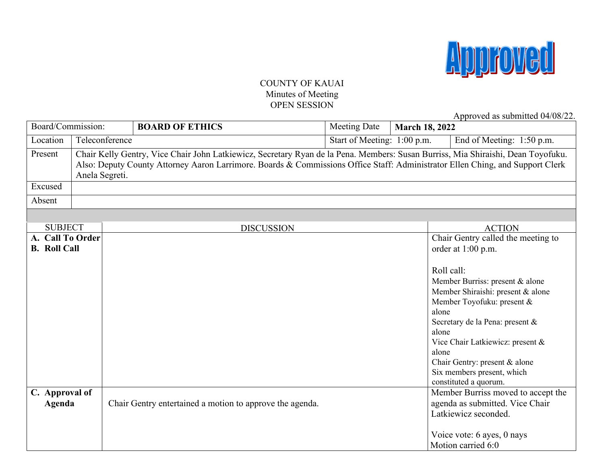

### COUNTY OF KAUAI Minutes of Meeting OPEN SESSION

Approved as submitted 04/08/22.

| Board/Commission:                       |                                               |  | <b>BOARD OF ETHICS</b>                                                                                                                                                                                                                                            | Meeting Date              | <b>March 18, 2022</b>                 |                                                                                                                                                                                                                                                                                                                               |
|-----------------------------------------|-----------------------------------------------|--|-------------------------------------------------------------------------------------------------------------------------------------------------------------------------------------------------------------------------------------------------------------------|---------------------------|---------------------------------------|-------------------------------------------------------------------------------------------------------------------------------------------------------------------------------------------------------------------------------------------------------------------------------------------------------------------------------|
| Location                                | Teleconference<br>Start of Meeting: 1:00 p.m. |  |                                                                                                                                                                                                                                                                   | End of Meeting: 1:50 p.m. |                                       |                                                                                                                                                                                                                                                                                                                               |
| Present<br>Anela Segreti.               |                                               |  | Chair Kelly Gentry, Vice Chair John Latkiewicz, Secretary Ryan de la Pena. Members: Susan Burriss, Mia Shiraishi, Dean Toyofuku.<br>Also: Deputy County Attorney Aaron Larrimore. Boards & Commissions Office Staff: Administrator Ellen Ching, and Support Clerk |                           |                                       |                                                                                                                                                                                                                                                                                                                               |
| Excused                                 |                                               |  |                                                                                                                                                                                                                                                                   |                           |                                       |                                                                                                                                                                                                                                                                                                                               |
| Absent                                  |                                               |  |                                                                                                                                                                                                                                                                   |                           |                                       |                                                                                                                                                                                                                                                                                                                               |
|                                         |                                               |  |                                                                                                                                                                                                                                                                   |                           |                                       |                                                                                                                                                                                                                                                                                                                               |
| <b>SUBJECT</b>                          |                                               |  | <b>DISCUSSION</b>                                                                                                                                                                                                                                                 |                           |                                       | <b>ACTION</b>                                                                                                                                                                                                                                                                                                                 |
| A. Call To Order<br><b>B.</b> Roll Call |                                               |  |                                                                                                                                                                                                                                                                   |                           | Roll call:<br>alone<br>alone<br>alone | Chair Gentry called the meeting to<br>order at 1:00 p.m.<br>Member Burriss: present & alone<br>Member Shiraishi: present & alone<br>Member Toyofuku: present &<br>Secretary de la Pena: present &<br>Vice Chair Latkiewicz: present &<br>Chair Gentry: present & alone<br>Six members present, which<br>constituted a quorum. |
| C. Approval of<br>Agenda                |                                               |  | Chair Gentry entertained a motion to approve the agenda.                                                                                                                                                                                                          |                           |                                       | Member Burriss moved to accept the<br>agenda as submitted. Vice Chair<br>Latkiewicz seconded.<br>Voice vote: 6 ayes, 0 nays<br>Motion carried 6:0                                                                                                                                                                             |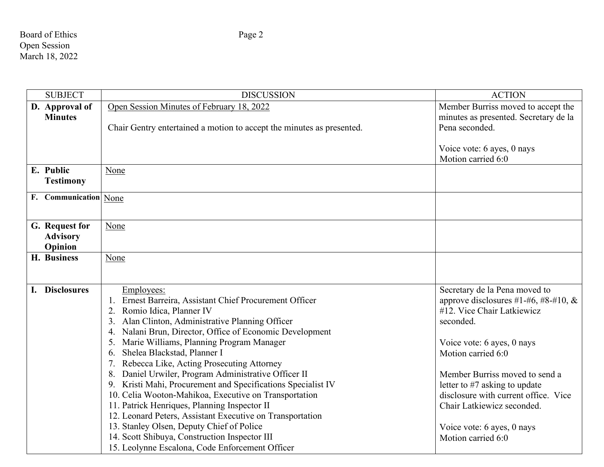## Board of Ethics Page 2 Open Session March 18, 2022

| <b>SUBJECT</b>        | <b>DISCUSSION</b>                                                     | <b>ACTION</b>                                    |
|-----------------------|-----------------------------------------------------------------------|--------------------------------------------------|
| D. Approval of        | Open Session Minutes of February 18, 2022                             | Member Burriss moved to accept the               |
| <b>Minutes</b>        |                                                                       | minutes as presented. Secretary de la            |
|                       | Chair Gentry entertained a motion to accept the minutes as presented. | Pena seconded.                                   |
|                       |                                                                       |                                                  |
|                       |                                                                       | Voice vote: 6 ayes, 0 nays                       |
|                       |                                                                       | Motion carried 6:0                               |
| E. Public             | None                                                                  |                                                  |
| <b>Testimony</b>      |                                                                       |                                                  |
| F. Communication None |                                                                       |                                                  |
|                       |                                                                       |                                                  |
|                       |                                                                       |                                                  |
| G. Request for        | None                                                                  |                                                  |
| <b>Advisory</b>       |                                                                       |                                                  |
| Opinion               |                                                                       |                                                  |
| H. Business           | None                                                                  |                                                  |
|                       |                                                                       |                                                  |
| I. Disclosures        | Employees:                                                            | Secretary de la Pena moved to                    |
|                       | Ernest Barreira, Assistant Chief Procurement Officer                  | approve disclosures #1-#6, #8-#10, $\&$          |
|                       | Romio Idica, Planner IV                                               | #12. Vice Chair Latkiewicz                       |
|                       | Alan Clinton, Administrative Planning Officer                         | seconded.                                        |
|                       | Nalani Brun, Director, Office of Economic Development<br>4.           |                                                  |
|                       | Marie Williams, Planning Program Manager<br>5.                        | Voice vote: 6 ayes, 0 nays                       |
|                       | Shelea Blackstad, Planner I<br>6.                                     | Motion carried 6:0                               |
|                       | Rebecca Like, Acting Prosecuting Attorney                             |                                                  |
|                       | Daniel Urwiler, Program Administrative Officer II<br>8.               | Member Burriss moved to send a                   |
|                       | 9. Kristi Mahi, Procurement and Specifications Specialist IV          | letter to #7 asking to update                    |
|                       | 10. Celia Wooton-Mahikoa, Executive on Transportation                 | disclosure with current office. Vice             |
|                       | 11. Patrick Henriques, Planning Inspector II                          | Chair Latkiewicz seconded.                       |
|                       | 12. Leonard Peters, Assistant Executive on Transportation             |                                                  |
|                       | 13. Stanley Olsen, Deputy Chief of Police                             |                                                  |
|                       | 14. Scott Shibuya, Construction Inspector III                         | Voice vote: 6 ayes, 0 nays<br>Motion carried 6:0 |
|                       | 15. Leolynne Escalona, Code Enforcement Officer                       |                                                  |
|                       |                                                                       |                                                  |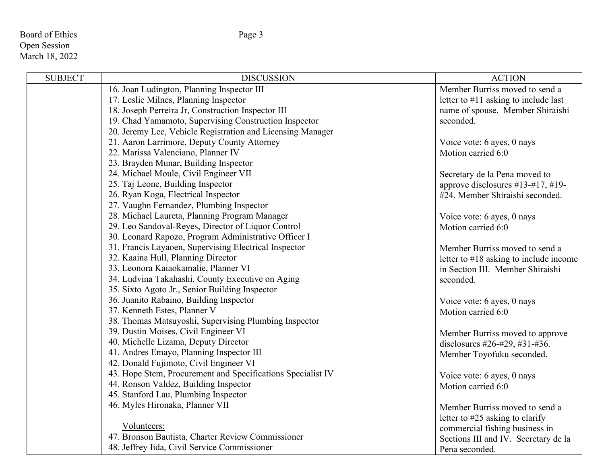### Board of Ethics Page 3 Open Session March 18, 2022

| <b>SUBJECT</b> | <b>DISCUSSION</b>                                           | <b>ACTION</b>                             |
|----------------|-------------------------------------------------------------|-------------------------------------------|
|                | 16. Joan Ludington, Planning Inspector III                  | Member Burriss moved to send a            |
|                | 17. Leslie Milnes, Planning Inspector                       | letter to $#11$ asking to include last    |
|                | 18. Joseph Perreira Jr, Construction Inspector III          | name of spouse. Member Shiraishi          |
|                | 19. Chad Yamamoto, Supervising Construction Inspector       | seconded.                                 |
|                | 20. Jeremy Lee, Vehicle Registration and Licensing Manager  |                                           |
|                | 21. Aaron Larrimore, Deputy County Attorney                 | Voice vote: 6 ayes, 0 nays                |
|                | 22. Marissa Valenciano, Planner IV                          | Motion carried 6:0                        |
|                | 23. Brayden Munar, Building Inspector                       |                                           |
|                | 24. Michael Moule, Civil Engineer VII                       | Secretary de la Pena moved to             |
|                | 25. Taj Leone, Building Inspector                           | approve disclosures #13-#17, #19-         |
|                | 26. Ryan Koga, Electrical Inspector                         | #24. Member Shiraishi seconded.           |
|                | 27. Vaughn Fernandez, Plumbing Inspector                    |                                           |
|                | 28. Michael Laureta, Planning Program Manager               | Voice vote: 6 ayes, 0 nays                |
|                | 29. Leo Sandoval-Reyes, Director of Liquor Control          | Motion carried 6:0                        |
|                | 30. Leonard Rapozo, Program Administrative Officer I        |                                           |
|                | 31. Francis Layaoen, Supervising Electrical Inspector       | Member Burriss moved to send a            |
|                | 32. Kaaina Hull, Planning Director                          | letter to $\#18$ asking to include income |
|                | 33. Leonora Kaiaokamalie, Planner VI                        | in Section III. Member Shiraishi          |
|                | 34. Ludvina Takahashi, County Executive on Aging            | seconded.                                 |
|                | 35. Sixto Agoto Jr., Senior Building Inspector              |                                           |
|                | 36. Juanito Rabaino, Building Inspector                     | Voice vote: 6 ayes, 0 nays                |
|                | 37. Kenneth Estes, Planner V                                | Motion carried 6:0                        |
|                | 38. Thomas Matsuyoshi, Supervising Plumbing Inspector       |                                           |
|                | 39. Dustin Moises, Civil Engineer VI                        | Member Burriss moved to approve           |
|                | 40. Michelle Lizama, Deputy Director                        | disclosures #26-#29, #31-#36.             |
|                | 41. Andres Emayo, Planning Inspector III                    | Member Toyofuku seconded.                 |
|                | 42. Donald Fujimoto, Civil Engineer VI                      |                                           |
|                | 43. Hope Stem, Procurement and Specifications Specialist IV | Voice vote: 6 ayes, 0 nays                |
|                | 44. Ronson Valdez, Building Inspector                       | Motion carried 6:0                        |
|                | 45. Stanford Lau, Plumbing Inspector                        |                                           |
|                | 46. Myles Hironaka, Planner VII                             | Member Burriss moved to send a            |
|                |                                                             | letter to #25 asking to clarify           |
|                | Volunteers:                                                 | commercial fishing business in            |
|                | 47. Bronson Bautista, Charter Review Commissioner           | Sections III and IV. Secretary de la      |
|                | 48. Jeffrey Iida, Civil Service Commissioner                | Pena seconded.                            |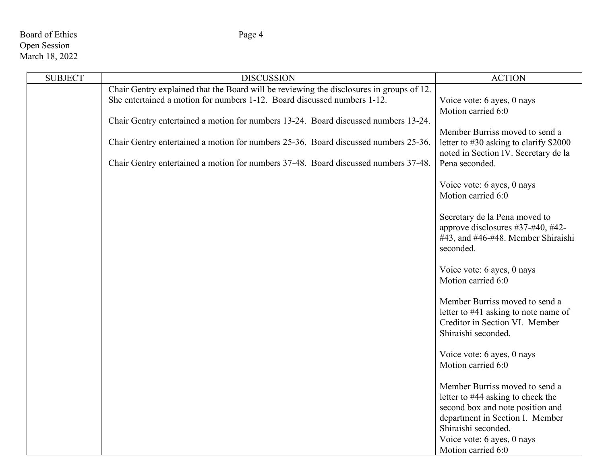# Board of Ethics Page 4 Open Session March 18, 2022

| <b>SUBJECT</b> | <b>DISCUSSION</b>                                                                                                                                                          | <b>ACTION</b>                                                                                                                                                     |
|----------------|----------------------------------------------------------------------------------------------------------------------------------------------------------------------------|-------------------------------------------------------------------------------------------------------------------------------------------------------------------|
|                | Chair Gentry explained that the Board will be reviewing the disclosures in groups of 12.<br>She entertained a motion for numbers 1-12. Board discussed numbers 1-12.       | Voice vote: 6 ayes, 0 nays<br>Motion carried 6:0                                                                                                                  |
|                | Chair Gentry entertained a motion for numbers 13-24. Board discussed numbers 13-24.<br>Chair Gentry entertained a motion for numbers 25-36. Board discussed numbers 25-36. | Member Burriss moved to send a<br>letter to #30 asking to clarify \$2000<br>noted in Section IV. Secretary de la                                                  |
|                | Chair Gentry entertained a motion for numbers 37-48. Board discussed numbers 37-48.                                                                                        | Pena seconded.                                                                                                                                                    |
|                |                                                                                                                                                                            | Voice vote: 6 ayes, 0 nays<br>Motion carried 6:0                                                                                                                  |
|                |                                                                                                                                                                            | Secretary de la Pena moved to<br>approve disclosures #37-#40, #42-<br>#43, and #46-#48. Member Shiraishi<br>seconded.                                             |
|                |                                                                                                                                                                            | Voice vote: 6 ayes, 0 nays<br>Motion carried 6:0                                                                                                                  |
|                |                                                                                                                                                                            | Member Burriss moved to send a<br>letter to #41 asking to note name of<br>Creditor in Section VI. Member<br>Shiraishi seconded.                                   |
|                |                                                                                                                                                                            | Voice vote: 6 ayes, 0 nays<br>Motion carried 6:0                                                                                                                  |
|                |                                                                                                                                                                            | Member Burriss moved to send a<br>letter to #44 asking to check the<br>second box and note position and<br>department in Section I. Member<br>Shiraishi seconded. |
|                |                                                                                                                                                                            | Voice vote: 6 ayes, 0 nays<br>Motion carried 6:0                                                                                                                  |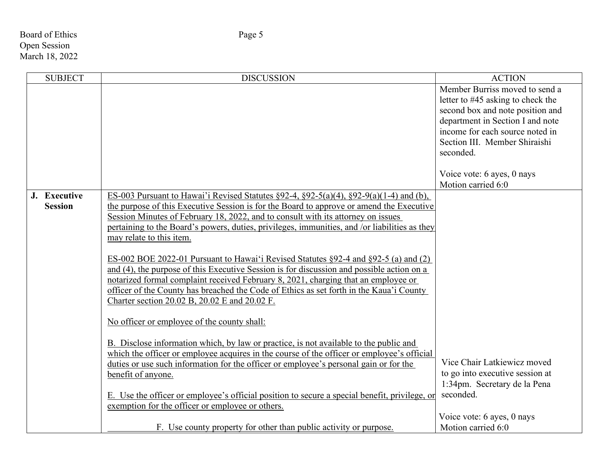## Board of Ethics Page 5 Open Session March 18, 2022

| <b>SUBJECT</b> | <b>DISCUSSION</b>                                                                                                                                                                   | <b>ACTION</b>                                                       |
|----------------|-------------------------------------------------------------------------------------------------------------------------------------------------------------------------------------|---------------------------------------------------------------------|
|                |                                                                                                                                                                                     | Member Burriss moved to send a                                      |
|                |                                                                                                                                                                                     | letter to #45 asking to check the                                   |
|                |                                                                                                                                                                                     | second box and note position and                                    |
|                |                                                                                                                                                                                     | department in Section I and note<br>income for each source noted in |
|                |                                                                                                                                                                                     | Section III. Member Shiraishi                                       |
|                |                                                                                                                                                                                     | seconded.                                                           |
|                |                                                                                                                                                                                     |                                                                     |
|                |                                                                                                                                                                                     | Voice vote: 6 ayes, 0 nays                                          |
|                |                                                                                                                                                                                     | Motion carried 6:0                                                  |
| J. Executive   | ES-003 Pursuant to Hawai'i Revised Statutes $\S 92-4$ , $\S 92-5(a)(4)$ , $\S 92-9(a)(1-4)$ and (b),                                                                                |                                                                     |
| <b>Session</b> | the purpose of this Executive Session is for the Board to approve or amend the Executive                                                                                            |                                                                     |
|                | Session Minutes of February 18, 2022, and to consult with its attorney on issues                                                                                                    |                                                                     |
|                | pertaining to the Board's powers, duties, privileges, immunities, and /or liabilities as they                                                                                       |                                                                     |
|                | may relate to this item.                                                                                                                                                            |                                                                     |
|                | ES-002 BOE 2022-01 Pursuant to Hawai'i Revised Statutes §92-4 and §92-5 (a) and (2)                                                                                                 |                                                                     |
|                | and (4), the purpose of this Executive Session is for discussion and possible action on a                                                                                           |                                                                     |
|                | notarized formal complaint received February 8, 2021, charging that an employee or                                                                                                  |                                                                     |
|                | officer of the County has breached the Code of Ethics as set forth in the Kaua'i County                                                                                             |                                                                     |
|                | Charter section 20.02 B, 20.02 E and 20.02 F.                                                                                                                                       |                                                                     |
|                |                                                                                                                                                                                     |                                                                     |
|                | No officer or employee of the county shall:                                                                                                                                         |                                                                     |
|                |                                                                                                                                                                                     |                                                                     |
|                | B. Disclose information which, by law or practice, is not available to the public and<br>which the officer or employee acquires in the course of the officer or employee's official |                                                                     |
|                | duties or use such information for the officer or employee's personal gain or for the                                                                                               | Vice Chair Latkiewicz moved                                         |
|                | benefit of anyone.                                                                                                                                                                  | to go into executive session at                                     |
|                |                                                                                                                                                                                     | 1:34pm. Secretary de la Pena                                        |
|                | E. Use the officer or employee's official position to secure a special benefit, privilege, or                                                                                       | seconded.                                                           |
|                | exemption for the officer or employee or others.                                                                                                                                    |                                                                     |
|                |                                                                                                                                                                                     | Voice vote: 6 ayes, 0 nays                                          |
|                | F. Use county property for other than public activity or purpose.                                                                                                                   | Motion carried 6:0                                                  |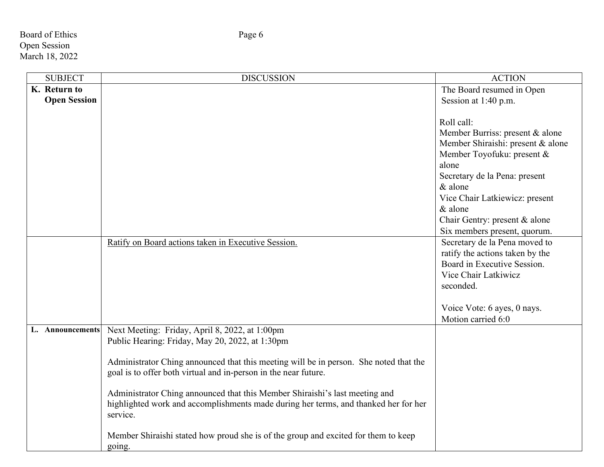Board of Ethics Page 6 Open Session March 18, 2022

| <b>SUBJECT</b>      | <b>DISCUSSION</b>                                                                     | <b>ACTION</b>                     |
|---------------------|---------------------------------------------------------------------------------------|-----------------------------------|
| K. Return to        |                                                                                       | The Board resumed in Open         |
| <b>Open Session</b> |                                                                                       | Session at 1:40 p.m.              |
|                     |                                                                                       |                                   |
|                     |                                                                                       | Roll call:                        |
|                     |                                                                                       | Member Burriss: present & alone   |
|                     |                                                                                       | Member Shiraishi: present & alone |
|                     |                                                                                       | Member Toyofuku: present &        |
|                     |                                                                                       | alone                             |
|                     |                                                                                       | Secretary de la Pena: present     |
|                     |                                                                                       | $&$ alone                         |
|                     |                                                                                       | Vice Chair Latkiewicz: present    |
|                     |                                                                                       | & alone                           |
|                     |                                                                                       | Chair Gentry: present & alone     |
|                     |                                                                                       | Six members present, quorum.      |
|                     | Ratify on Board actions taken in Executive Session.                                   | Secretary de la Pena moved to     |
|                     |                                                                                       | ratify the actions taken by the   |
|                     |                                                                                       | Board in Executive Session.       |
|                     |                                                                                       | Vice Chair Latkiwicz              |
|                     |                                                                                       | seconded.                         |
|                     |                                                                                       |                                   |
|                     |                                                                                       | Voice Vote: 6 ayes, 0 nays.       |
|                     |                                                                                       | Motion carried 6:0                |
| L. Announcements    | Next Meeting: Friday, April 8, 2022, at 1:00pm                                        |                                   |
|                     | Public Hearing: Friday, May 20, 2022, at 1:30pm                                       |                                   |
|                     |                                                                                       |                                   |
|                     | Administrator Ching announced that this meeting will be in person. She noted that the |                                   |
|                     | goal is to offer both virtual and in-person in the near future.                       |                                   |
|                     | Administrator Ching announced that this Member Shiraishi's last meeting and           |                                   |
|                     | highlighted work and accomplishments made during her terms, and thanked her for her   |                                   |
|                     | service.                                                                              |                                   |
|                     |                                                                                       |                                   |
|                     | Member Shiraishi stated how proud she is of the group and excited for them to keep    |                                   |
|                     | going.                                                                                |                                   |